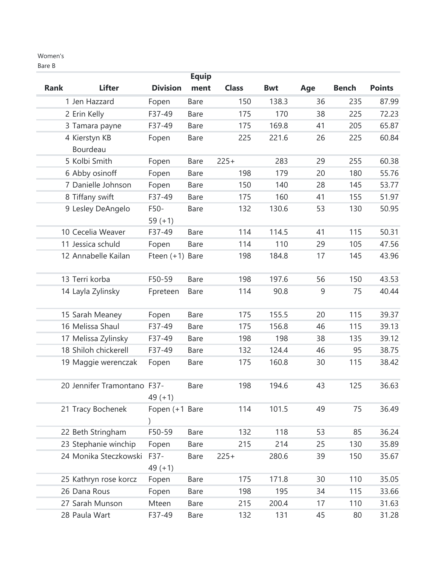Women's

| <b>Equip</b> |                             |                                 |             |              |            |     |              |               |  |
|--------------|-----------------------------|---------------------------------|-------------|--------------|------------|-----|--------------|---------------|--|
| <b>Rank</b>  | <b>Lifter</b>               | <b>Division</b>                 | ment        | <b>Class</b> | <b>Bwt</b> | Age | <b>Bench</b> | <b>Points</b> |  |
|              | 1 Jen Hazzard               | Fopen                           | <b>Bare</b> | 150          | 138.3      | 36  | 235          | 87.99         |  |
|              | 2 Erin Kelly                | F37-49                          | <b>Bare</b> | 175          | 170        | 38  | 225          | 72.23         |  |
|              | 3 Tamara payne              | F37-49                          | <b>Bare</b> | 175          | 169.8      | 41  | 205          | 65.87         |  |
|              | 4 Kierstyn KB               | Fopen                           | <b>Bare</b> | 225          | 221.6      | 26  | 225          | 60.84         |  |
|              | Bourdeau                    |                                 |             |              |            |     |              |               |  |
|              | 5 Kolbi Smith               | Fopen                           | <b>Bare</b> | $225+$       | 283        | 29  | 255          | 60.38         |  |
|              | 6 Abby osinoff              | Fopen                           | <b>Bare</b> | 198          | 179        | 20  | 180          | 55.76         |  |
|              | 7 Danielle Johnson          | Fopen                           | <b>Bare</b> | 150          | 140        | 28  | 145          | 53.77         |  |
|              | 8 Tiffany swift             | F37-49                          | <b>Bare</b> | 175          | 160        | 41  | 155          | 51.97         |  |
|              | 9 Lesley DeAngelo           | F50-                            | <b>Bare</b> | 132          | 130.6      | 53  | 130          | 50.95         |  |
|              |                             | $59 (+1)$                       |             |              |            |     |              |               |  |
|              | 10 Cecelia Weaver           | F37-49                          | <b>Bare</b> | 114          | 114.5      | 41  | 115          | 50.31         |  |
|              | 11 Jessica schuld           | Fopen                           | <b>Bare</b> | 114          | 110        | 29  | 105          | 47.56         |  |
|              | 12 Annabelle Kailan         | Fteen $(+1)$ Bare               |             | 198          | 184.8      | 17  | 145          | 43.96         |  |
|              | 13 Terri korba              | F50-59                          | <b>Bare</b> | 198          | 197.6      | 56  | 150          | 43.53         |  |
|              | 14 Layla Zylinsky           | Fpreteen                        | <b>Bare</b> | 114          | 90.8       | 9   | 75           | 40.44         |  |
|              | 15 Sarah Meaney             | Fopen                           | <b>Bare</b> | 175          | 155.5      | 20  | 115          | 39.37         |  |
|              | 16 Melissa Shaul            | F37-49                          | <b>Bare</b> | 175          | 156.8      | 46  | 115          | 39.13         |  |
|              | 17 Melissa Zylinsky         | F37-49                          | <b>Bare</b> | 198          | 198        | 38  | 135          | 39.12         |  |
|              | 18 Shiloh chickerell        | F37-49                          | <b>Bare</b> | 132          | 124.4      | 46  | 95           | 38.75         |  |
|              | 19 Maggie werenczak         | Fopen                           | <b>Bare</b> | 175          | 160.8      | 30  | 115          | 38.42         |  |
|              | 20 Jennifer Tramontano F37- | $49 (+1)$                       | <b>Bare</b> | 198          | 194.6      | 43  | 125          | 36.63         |  |
|              | 21 Tracy Bochenek           | Fopen (+1 Bare<br>$\mathcal{E}$ |             | 114          | 101.5      | 49  | 75           | 36.49         |  |
|              | 22 Beth Stringham           | F50-59                          | <b>Bare</b> | 132          | 118        | 53  | 85           | 36.24         |  |
|              | 23 Stephanie winchip        | Fopen                           | Bare        | 215          | 214        | 25  | 130          | 35.89         |  |
|              | 24 Monika Steczkowski       | F37-                            | Bare        | $225+$       | 280.6      | 39  | 150          | 35.67         |  |
|              |                             | $49 (+1)$                       |             |              |            |     |              |               |  |
|              | 25 Kathryn rose korcz       | Fopen                           | <b>Bare</b> | 175          | 171.8      | 30  | 110          | 35.05         |  |
|              | 26 Dana Rous                | Fopen                           | <b>Bare</b> | 198          | 195        | 34  | 115          | 33.66         |  |
|              | 27 Sarah Munson             | Mteen                           | Bare        | 215          | 200.4      | 17  | 110          | 31.63         |  |
|              | 28 Paula Wart               | F37-49                          | <b>Bare</b> | 132          | 131        | 45  | 80           | 31.28         |  |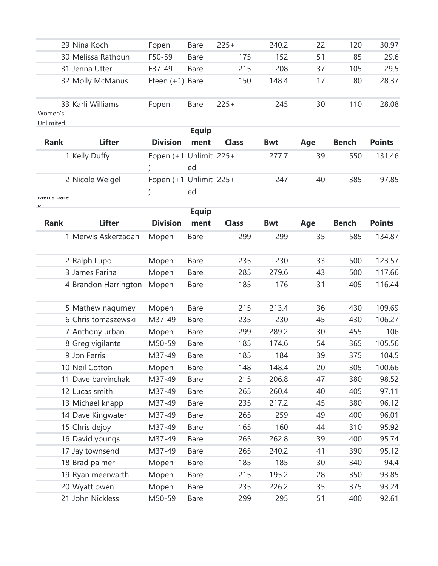|                      | 29 Nina Koch         | Fopen                                      | <b>Bare</b>  | $225+$       | 240.2      | 22  | 120          | 30.97                           |
|----------------------|----------------------|--------------------------------------------|--------------|--------------|------------|-----|--------------|---------------------------------|
|                      | 30 Melissa Rathbun   | F50-59                                     | <b>Bare</b>  | 175          | 152        | 51  | 85           | 29.6                            |
|                      | 31 Jenna Utter       | F37-49                                     | <b>Bare</b>  | 215          | 208        | 37  | 105          | 29.5                            |
|                      | 32 Molly McManus     | Fteen (+1) Bare                            |              | 150          | 148.4      | 17  | 80           | 28.37                           |
| Women's<br>Unlimited | 33 Karli Williams    | Fopen                                      | Bare         | $225+$       | 245        | 30  | 110          | 28.08                           |
|                      |                      |                                            | <b>Equip</b> |              |            |     |              |                                 |
| <b>Rank</b>          | <b>Lifter</b>        | <b>Division</b>                            | ment         | <b>Class</b> | <b>Bwt</b> | Age | <b>Bench</b> | <b>Points</b>                   |
|                      | 1 Kelly Duffy        | Fopen $(+1)$ Unlimit 225+<br>$\mathcal{E}$ | ed           |              | 277.7      | 39  | 550          | 131.46                          |
|                      | 2 Nicole Weigel      | Fopen $(+1)$ Unlimit 225+                  | ed           |              | 247        | 40  | 385          | 97.85                           |
| IVIEITS DATE         |                      |                                            |              |              |            |     |              |                                 |
|                      |                      |                                            | <b>Equip</b> |              |            |     |              |                                 |
| <b>Rank</b>          | <b>Lifter</b>        | <b>Division</b>                            | ment         | <b>Class</b> | <b>Bwt</b> | Age | <b>Bench</b> | <b>Points</b>                   |
|                      | 1 Merwis Askerzadah  | Mopen                                      | <b>Bare</b>  | 299          | 299        | 35  | 585          | 134.87                          |
|                      | 2 Ralph Lupo         | Mopen                                      | Bare         | 235          | 230        | 33  | 500          | 123.57                          |
|                      | 3 James Farina       | Mopen                                      | Bare         | 285          | 279.6      | 43  | 500          | 117.66                          |
|                      | 4 Brandon Harrington | Mopen                                      | Bare         | 185          | 176        | 31  | 405          | 116.44                          |
|                      | 5 Mathew nagurney    | Mopen                                      | Bare         | 215          | 213.4      | 36  | 430          | 109.69                          |
|                      | 6 Chris tomaszewski  | M37-49                                     | <b>Bare</b>  | 235          | 230        | 45  | 430          | 106.27                          |
|                      | 7 Anthony urban      | Mopen                                      | Bare         | 299          | 289.2      | 30  | 455          | 106                             |
|                      | 8 Greg vigilante     | M50-59                                     | Bare         | 185          | 174.6      | 54  | 365          | 105.56                          |
|                      | 9 Jon Ferris         | M37-49                                     | Bare         | 185          | 184        | 39  | 375          | 104.5                           |
|                      | 10 Neil Cotton       | Mopen                                      | Bare         | 148          | 148.4      | 20  | 305          | 100.66                          |
|                      | 11 Dave barvinchak   | M37-49                                     | <b>Bare</b>  | 215          | 206.8      | 47  | 380          | 98.52                           |
|                      | 12 Lucas smith       | M37-49                                     | <b>Bare</b>  | 265          | 260.4      | 40  | 405          | 97.11                           |
|                      | 13 Michael knapp     | M37-49                                     | Bare         | 235          | 217.2      | 45  | 380          | 96.12                           |
|                      | 14 Dave Kingwater    | M37-49                                     | <b>Bare</b>  | 265          | 259        | 49  | 400          | 96.01                           |
|                      | 15 Chris dejoy       | M37-49                                     | Bare         | 165          | 160        | 44  | 310          | 95.92                           |
|                      | 16 David youngs      | M37-49                                     | <b>Bare</b>  | 265          | 262.8      | 39  | 400          | 95.74                           |
|                      |                      |                                            |              |              |            |     |              |                                 |
|                      | 17 Jay townsend      | M37-49                                     | <b>Bare</b>  | 265          | 240.2      | 41  | 390          |                                 |
|                      | 18 Brad palmer       | Mopen                                      | Bare         | 185          | 185        | 30  | 340          |                                 |
|                      | 19 Ryan meerwarth    | Mopen                                      | Bare         | 215          | 195.2      | 28  | 350          |                                 |
|                      | 20 Wyatt owen        | Mopen                                      | Bare         | 235          | 226.2      | 35  | 375          | 95.12<br>94.4<br>93.85<br>93.24 |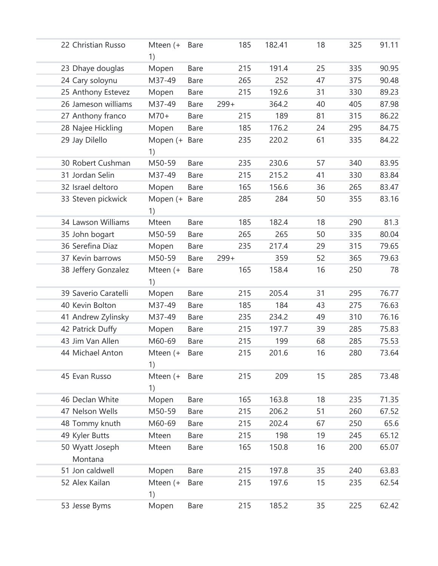| 22 Christian Russo         | Mteen (+            | Bare        | 185    | 182.41 | 18 | 325 | 91.11 |
|----------------------------|---------------------|-------------|--------|--------|----|-----|-------|
|                            | 1)                  |             |        |        |    |     |       |
| 23 Dhaye douglas           | Mopen               | Bare        | 215    | 191.4  | 25 | 335 | 90.95 |
| 24 Cary soloynu            | M37-49              | Bare        | 265    | 252    | 47 | 375 | 90.48 |
| 25 Anthony Estevez         | Mopen               | Bare        | 215    | 192.6  | 31 | 330 | 89.23 |
| 26 Jameson williams        | M37-49              | <b>Bare</b> | $299+$ | 364.2  | 40 | 405 | 87.98 |
| 27 Anthony franco          | $M70+$              | <b>Bare</b> | 215    | 189    | 81 | 315 | 86.22 |
| 28 Najee Hickling          | Mopen               | <b>Bare</b> | 185    | 176.2  | 24 | 295 | 84.75 |
| 29 Jay Dilello             | Mopen (+ Bare<br>1) |             | 235    | 220.2  | 61 | 335 | 84.22 |
| 30 Robert Cushman          | M50-59              | <b>Bare</b> | 235    | 230.6  | 57 | 340 | 83.95 |
| 31 Jordan Selin            | M37-49              | <b>Bare</b> | 215    | 215.2  | 41 | 330 | 83.84 |
| 32 Israel deltoro          | Mopen               | <b>Bare</b> | 165    | 156.6  | 36 | 265 | 83.47 |
| 33 Steven pickwick         | Mopen (+ Bare<br>1) |             | 285    | 284    | 50 | 355 | 83.16 |
| 34 Lawson Williams         | Mteen               | <b>Bare</b> | 185    | 182.4  | 18 | 290 | 81.3  |
| 35 John bogart             | M50-59              | <b>Bare</b> | 265    | 265    | 50 | 335 | 80.04 |
| 36 Serefina Diaz           | Mopen               | Bare        | 235    | 217.4  | 29 | 315 | 79.65 |
| 37 Kevin barrows           | M50-59              | Bare        | $299+$ | 359    | 52 | 365 | 79.63 |
| 38 Jeffery Gonzalez        | Mteen (+<br>1)      | Bare        | 165    | 158.4  | 16 | 250 | 78    |
| 39 Saverio Caratelli       | Mopen               | Bare        | 215    | 205.4  | 31 | 295 | 76.77 |
| 40 Kevin Bolton            | M37-49              | <b>Bare</b> | 185    | 184    | 43 | 275 | 76.63 |
| 41 Andrew Zylinsky         | M37-49              | <b>Bare</b> | 235    | 234.2  | 49 | 310 | 76.16 |
| 42 Patrick Duffy           | Mopen               | Bare        | 215    | 197.7  | 39 | 285 | 75.83 |
| 43 Jim Van Allen           | M60-69              | <b>Bare</b> | 215    | 199    | 68 | 285 | 75.53 |
| 44 Michael Anton           | Mteen (+<br>1)      | Bare        | 215    | 201.6  | 16 | 280 | 73.64 |
| 45 Evan Russo              | Mteen (+<br>1)      | Bare        | 215    | 209    | 15 | 285 | 73.48 |
| 46 Declan White            | Mopen               | <b>Bare</b> | 165    | 163.8  | 18 | 235 | 71.35 |
| 47 Nelson Wells            | M50-59              | <b>Bare</b> | 215    | 206.2  | 51 | 260 | 67.52 |
| 48 Tommy knuth             | M60-69              | Bare        | 215    | 202.4  | 67 | 250 | 65.6  |
| 49 Kyler Butts             | Mteen               | <b>Bare</b> | 215    | 198    | 19 | 245 | 65.12 |
| 50 Wyatt Joseph<br>Montana | Mteen               | Bare        | 165    | 150.8  | 16 | 200 | 65.07 |
| 51 Jon caldwell            | Mopen               | Bare        | 215    | 197.8  | 35 | 240 | 63.83 |
| 52 Alex Kailan             | Mteen (+<br>1)      | Bare        | 215    | 197.6  | 15 | 235 | 62.54 |
| 53 Jesse Byms              | Mopen               | Bare        | 215    | 185.2  | 35 | 225 | 62.42 |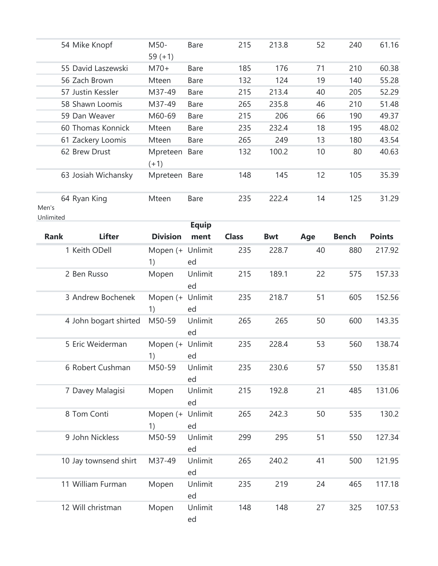|                    | 54 Mike Knopf         | M50-<br>$59 (+1)$                                                   | <b>Bare</b>   | 215          | 213.8      | 52  | 240          | 61.16         |
|--------------------|-----------------------|---------------------------------------------------------------------|---------------|--------------|------------|-----|--------------|---------------|
|                    | 55 David Laszewski    | $M70+$                                                              | Bare          | 185          | 176        | 71  | 210          | 60.38         |
|                    | 56 Zach Brown         | Mteen                                                               | <b>Bare</b>   | 132          | 124        | 19  | 140          | 55.28         |
|                    | 57 Justin Kessler     | M37-49                                                              | Bare          | 215          | 213.4      | 40  | 205          | 52.29         |
|                    | 58 Shawn Loomis       | M37-49                                                              | <b>Bare</b>   | 265          | 235.8      | 46  | 210          | 51.48         |
|                    | 59 Dan Weaver         | M60-69                                                              | <b>Bare</b>   | 215          | 206        | 66  | 190          | 49.37         |
|                    | 60 Thomas Konnick     | Mteen                                                               | <b>Bare</b>   | 235          | 232.4      | 18  | 195          | 48.02         |
|                    | 61 Zackery Loomis     | Mteen                                                               | <b>Bare</b>   | 265          | 249        | 13  | 180          | 43.54         |
|                    | 62 Brew Drust         | Mpreteen Bare<br>$(+1)$                                             |               | 132          | 100.2      | 10  | 80           | 40.63         |
|                    | 63 Josiah Wichansky   | Mpreteen Bare                                                       |               | 148          | 145        | 12  | 105          | 35.39         |
| Men's<br>Unlimited | 64 Ryan King          | Mteen                                                               | Bare          | 235          | 222.4      | 14  | 125          | 31.29         |
|                    |                       |                                                                     | <b>Equip</b>  |              |            |     |              |               |
| <b>Rank</b>        | <b>Lifter</b>         | <b>Division</b>                                                     | ment          | <b>Class</b> | <b>Bwt</b> | Age | <b>Bench</b> | <b>Points</b> |
|                    | 1 Keith ODell         | Mopen (+ Unlimit<br>1)                                              | ed            | 235          | 228.7      | 40  | 880          | 217.92        |
|                    | 2 Ben Russo           | Mopen                                                               | Unlimit<br>ed | 215          | 189.1      | 22  | 575          | 157.33        |
|                    | 3 Andrew Bochenek     | Mopen (+ Unlimit<br>1)                                              | ed            | 235          | 218.7      | 51  | 605          | 152.56        |
|                    | 4 John bogart shirted | M50-59                                                              | Unlimit<br>ed | 265          | 265        | 50  | 600          | 143.35        |
|                    | 5 Eric Weiderman      | Mopen (+ Unlimit<br>$\left( \begin{array}{c} 1 \end{array} \right)$ | ed            | 235          | 228.4      | 53  | 560          | 138.74        |
|                    | 6 Robert Cushman      | M50-59                                                              | Unlimit<br>ed | 235          | 230.6      | 57  | 550          | 135.81        |
|                    | 7 Davey Malagisi      | Mopen                                                               | Unlimit<br>ed | 215          | 192.8      | 21  | 485          | 131.06        |
|                    | 8 Tom Conti           | Mopen (+ Unlimit<br>1)                                              | ed            | 265          | 242.3      | 50  | 535          | 130.2         |
|                    | 9 John Nickless       | M50-59                                                              | Unlimit<br>ed | 299          | 295        | 51  | 550          | 127.34        |
|                    | 10 Jay townsend shirt | M37-49                                                              | Unlimit<br>ed | 265          | 240.2      | 41  | 500          | 121.95        |
|                    | 11 William Furman     | Mopen                                                               | Unlimit<br>ed | 235          | 219        | 24  | 465          | 117.18        |
|                    | 12 Will christman     | Mopen                                                               | Unlimit<br>ed | 148          | 148        | 27  | 325          | 107.53        |